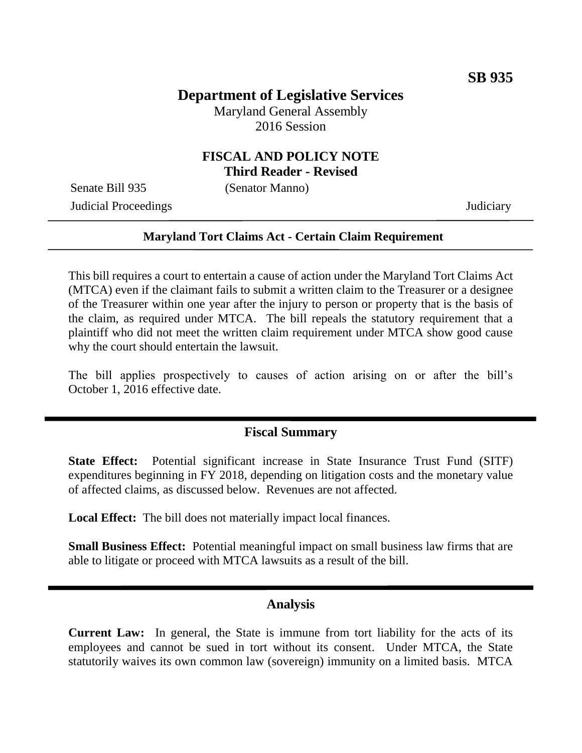# **Department of Legislative Services**

Maryland General Assembly 2016 Session

## **FISCAL AND POLICY NOTE Third Reader - Revised**

Senate Bill 935 (Senator Manno)

Judicial Proceedings Judiciary

### **Maryland Tort Claims Act - Certain Claim Requirement**

This bill requires a court to entertain a cause of action under the Maryland Tort Claims Act (MTCA) even if the claimant fails to submit a written claim to the Treasurer or a designee of the Treasurer within one year after the injury to person or property that is the basis of the claim, as required under MTCA. The bill repeals the statutory requirement that a plaintiff who did not meet the written claim requirement under MTCA show good cause why the court should entertain the lawsuit.

The bill applies prospectively to causes of action arising on or after the bill's October 1, 2016 effective date.

## **Fiscal Summary**

**State Effect:** Potential significant increase in State Insurance Trust Fund (SITF) expenditures beginning in FY 2018, depending on litigation costs and the monetary value of affected claims, as discussed below. Revenues are not affected.

**Local Effect:** The bill does not materially impact local finances.

**Small Business Effect:** Potential meaningful impact on small business law firms that are able to litigate or proceed with MTCA lawsuits as a result of the bill.

#### **Analysis**

**Current Law:** In general, the State is immune from tort liability for the acts of its employees and cannot be sued in tort without its consent. Under MTCA, the State statutorily waives its own common law (sovereign) immunity on a limited basis. MTCA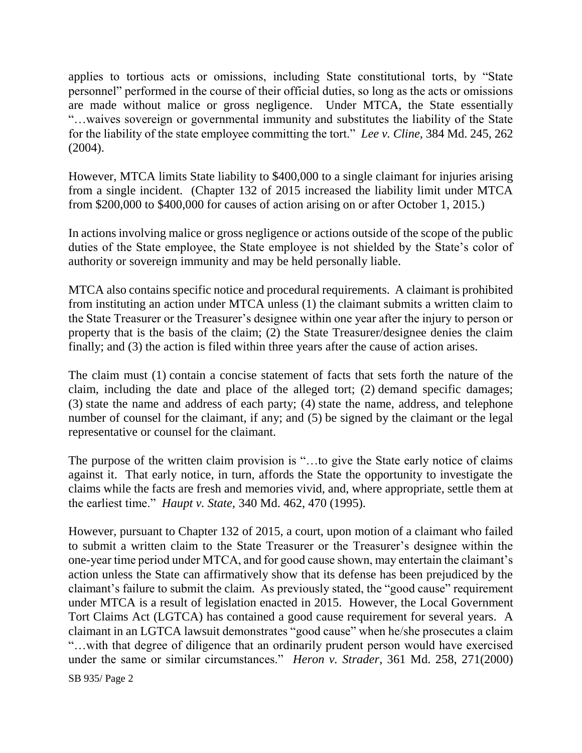applies to tortious acts or omissions, including State constitutional torts, by "State personnel" performed in the course of their official duties, so long as the acts or omissions are made without malice or gross negligence. Under MTCA, the State essentially "…waives sovereign or governmental immunity and substitutes the liability of the State for the liability of the state employee committing the tort." *Lee v. Cline,* 384 Md. 245, 262 (2004).

However, MTCA limits State liability to \$400,000 to a single claimant for injuries arising from a single incident. (Chapter 132 of 2015 increased the liability limit under MTCA from \$200,000 to \$400,000 for causes of action arising on or after October 1, 2015.)

In actions involving malice or gross negligence or actions outside of the scope of the public duties of the State employee, the State employee is not shielded by the State's color of authority or sovereign immunity and may be held personally liable.

MTCA also contains specific notice and procedural requirements. A claimant is prohibited from instituting an action under MTCA unless (1) the claimant submits a written claim to the State Treasurer or the Treasurer's designee within one year after the injury to person or property that is the basis of the claim; (2) the State Treasurer/designee denies the claim finally; and (3) the action is filed within three years after the cause of action arises.

The claim must (1) contain a concise statement of facts that sets forth the nature of the claim, including the date and place of the alleged tort; (2) demand specific damages; (3) state the name and address of each party; (4) state the name, address, and telephone number of counsel for the claimant, if any; and  $(5)$  be signed by the claimant or the legal representative or counsel for the claimant.

The purpose of the written claim provision is "…to give the State early notice of claims against it. That early notice, in turn, affords the State the opportunity to investigate the claims while the facts are fresh and memories vivid, and, where appropriate, settle them at the earliest time." *Haupt v. State,* 340 Md. 462, 470 (1995).

However, pursuant to Chapter 132 of 2015, a court, upon motion of a claimant who failed to submit a written claim to the State Treasurer or the Treasurer's designee within the one-year time period under MTCA, and for good cause shown, may entertain the claimant's action unless the State can affirmatively show that its defense has been prejudiced by the claimant's failure to submit the claim. As previously stated, the "good cause" requirement under MTCA is a result of legislation enacted in 2015. However, the Local Government Tort Claims Act (LGTCA) has contained a good cause requirement for several years. A claimant in an LGTCA lawsuit demonstrates "good cause" when he/she prosecutes a claim "…with that degree of diligence that an ordinarily prudent person would have exercised under the same or similar circumstances." *Heron v. Strader*, 361 Md. 258, 271(2000)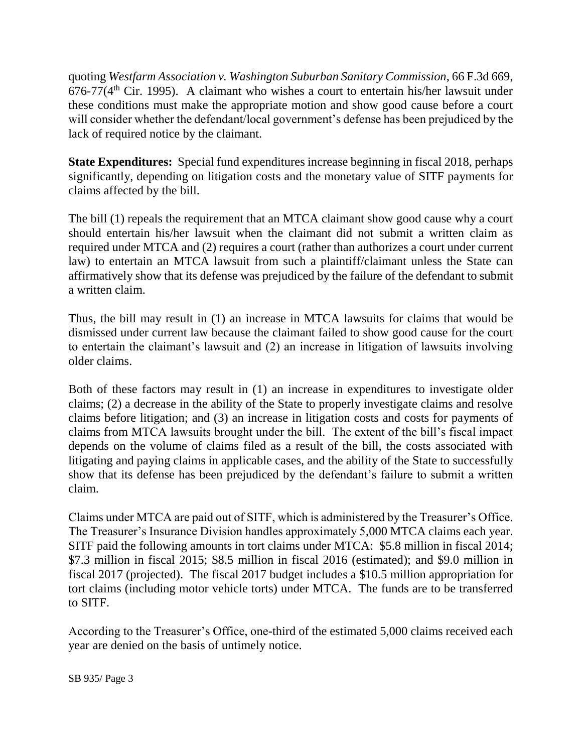quoting *Westfarm Association v. Washington Suburban Sanitary Commission*, 66 F.3d 669,  $676-77(4<sup>th</sup>)$  Cir. 1995). A claimant who wishes a court to entertain his/her lawsuit under these conditions must make the appropriate motion and show good cause before a court will consider whether the defendant/local government's defense has been prejudiced by the lack of required notice by the claimant.

**State Expenditures:** Special fund expenditures increase beginning in fiscal 2018, perhaps significantly, depending on litigation costs and the monetary value of SITF payments for claims affected by the bill.

The bill (1) repeals the requirement that an MTCA claimant show good cause why a court should entertain his/her lawsuit when the claimant did not submit a written claim as required under MTCA and (2) requires a court (rather than authorizes a court under current law) to entertain an MTCA lawsuit from such a plaintiff/claimant unless the State can affirmatively show that its defense was prejudiced by the failure of the defendant to submit a written claim.

Thus, the bill may result in (1) an increase in MTCA lawsuits for claims that would be dismissed under current law because the claimant failed to show good cause for the court to entertain the claimant's lawsuit and (2) an increase in litigation of lawsuits involving older claims.

Both of these factors may result in (1) an increase in expenditures to investigate older claims; (2) a decrease in the ability of the State to properly investigate claims and resolve claims before litigation; and (3) an increase in litigation costs and costs for payments of claims from MTCA lawsuits brought under the bill. The extent of the bill's fiscal impact depends on the volume of claims filed as a result of the bill, the costs associated with litigating and paying claims in applicable cases, and the ability of the State to successfully show that its defense has been prejudiced by the defendant's failure to submit a written claim.

Claims under MTCA are paid out of SITF, which is administered by the Treasurer's Office. The Treasurer's Insurance Division handles approximately 5,000 MTCA claims each year. SITF paid the following amounts in tort claims under MTCA: \$5.8 million in fiscal 2014; \$7.3 million in fiscal 2015; \$8.5 million in fiscal 2016 (estimated); and \$9.0 million in fiscal 2017 (projected). The fiscal 2017 budget includes a \$10.5 million appropriation for tort claims (including motor vehicle torts) under MTCA. The funds are to be transferred to SITF.

According to the Treasurer's Office, one-third of the estimated 5,000 claims received each year are denied on the basis of untimely notice.